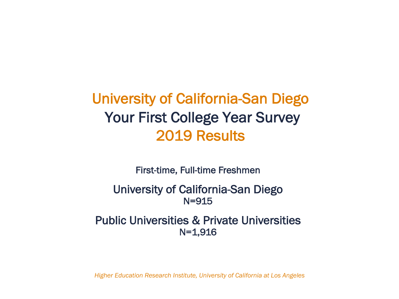University of California-San Diego Your First College Year Survey 2019 Results

First-time, Full-time Freshmen

University of California-San Diego N=915

Public Universities & Private Universities N=1,916

*Higher Education Research Institute, University of California at Los Angeles*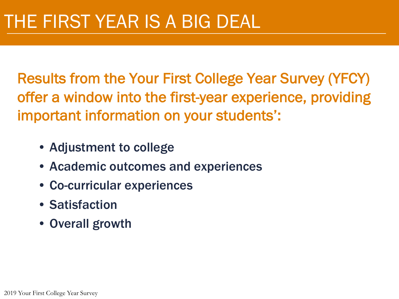Results from the Your First College Year Survey (YFCY) offer a window into the first-year experience, providing important information on your students':

- Adjustment to college
- Academic outcomes and experiences
- Co-curricular experiences
- Satisfaction
- Overall growth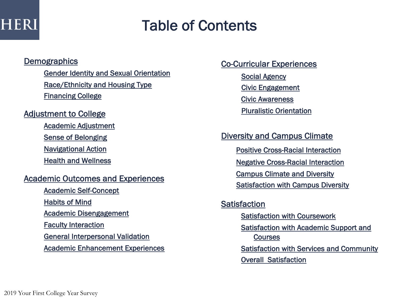### Table of Contents

### **Demographics**

Gender Identity and Sexual Orientation Race/Ethnicity and Housing Type Financing College

### Adjustment to College

Academic Adjustment

Sense of Belonging

Navigational Action

Health and Wellness

### Academic Outcomes and Experiences

Academic Self-Concept Habits of Mind Academic Disengagement Faculty Interaction General Interpersonal Validation Academic Enhancement Experiences Co-Curricular Experiences

Social Agency Civic Engagement Civic Awareness Pluralistic Orientation

Diversity and Campus Climate

Positive Cross-Racial Interaction

Negative Cross-Racial Interaction

Campus Climate and Diversity

Satisfaction with Campus Diversity

### **Satisfaction** Satisfaction with Coursework Satisfaction with Academic Support and **Courses** Satisfaction with Services and Community

Overall Satisfaction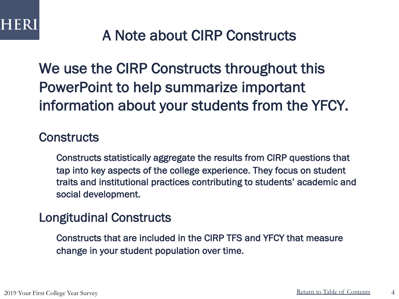### A Note about CIRP Constructs

We use the CIRP Constructs throughout this PowerPoint to help summarize important information about your students from the YFCY.

### **Constructs**

Constructs statistically aggregate the results from CIRP questions that tap into key aspects of the college experience. They focus on student traits and institutional practices contributing to students' academic and social development.

### Longitudinal Constructs

Constructs that are included in the CIRP TFS and YFCY that measure change in your student population over time.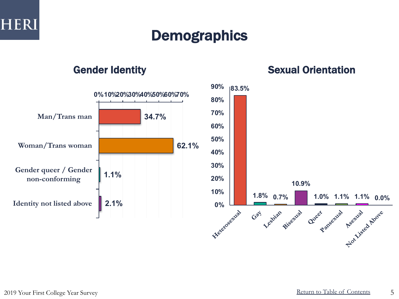

### **Demographics**



### Gender Identity **Sexual Orientation**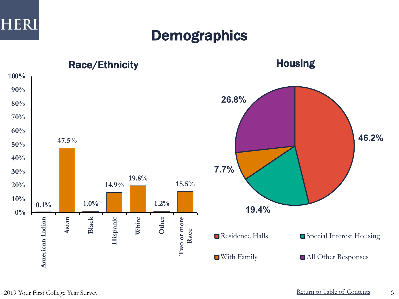

### **Demographics**

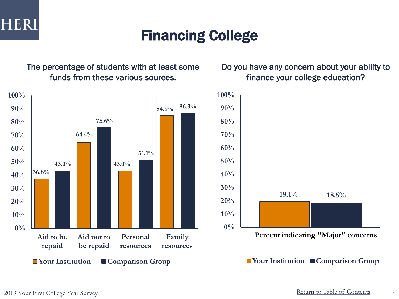

### Financing College

The percentage of students with at least some funds from these various sources.



### Do you have any concern about your ability to finance your college education?

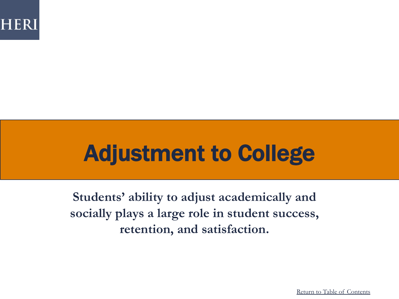

## Adjustment to College

**Students' ability to adjust academically and socially plays a large role in student success, retention, and satisfaction.** 

Return to Table of Contents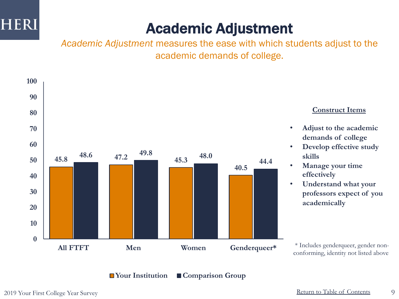

## Academic Adjustment

*Academic Adjustment* measures the ease with which students adjust to the academic demands of college.

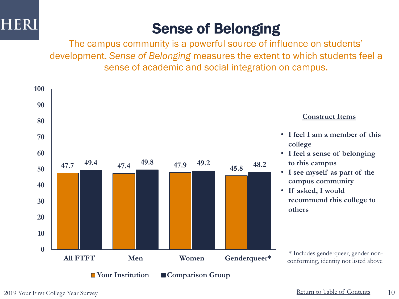

## Sense of Belonging

The campus community is a powerful source of influence on students' development. *Sense of Belonging* measures the extent to which students feel a sense of academic and social integration on campus.

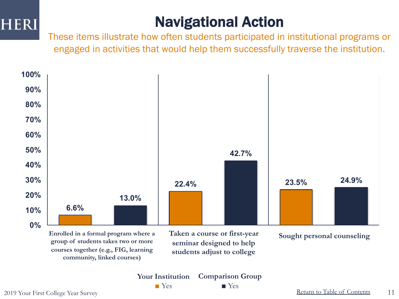## Navigational Action

These items illustrate how often students participated in institutional programs or engaged in activities that would help them successfully traverse the institution.



**Comparison Group ■** Yes

**Your Institution ■** Yes

Return to Table of Contents 2019 Your First College Year Survey 11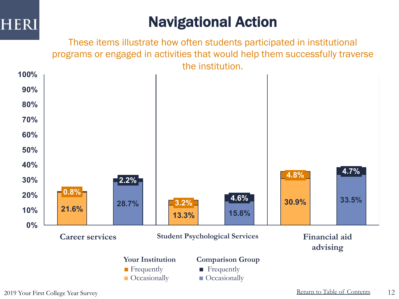

## Navigational Action

These items illustrate how often students participated in institutional programs or engaged in activities that would help them successfully traverse the institution.

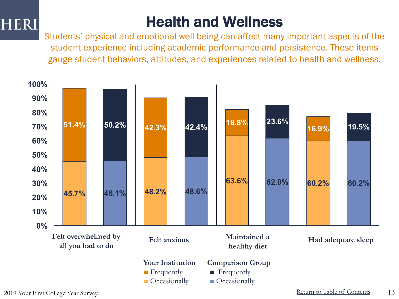## Health and Wellness

Students' physical and emotional well-being can affect many important aspects of the student experience including academic performance and persistence. These items gauge student behaviors, attitudes, and experiences related to health and wellness.

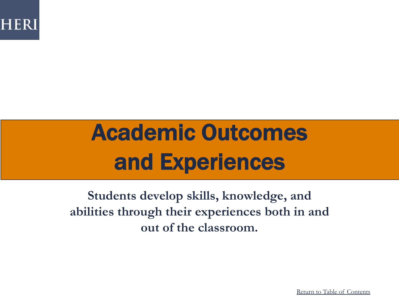

# Academic Outcomes and Experiences

**Students develop skills, knowledge, and abilities through their experiences both in and out of the classroom.**

Return to Table of Contents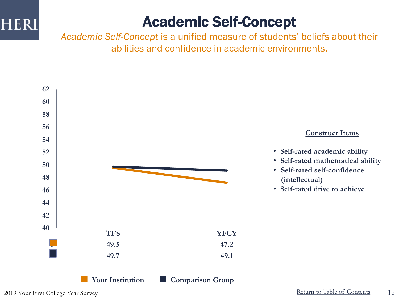### Academic Self-Concept

*Academic Self-Concept* is a unified measure of students' beliefs about their abilities and confidence in academic environments.

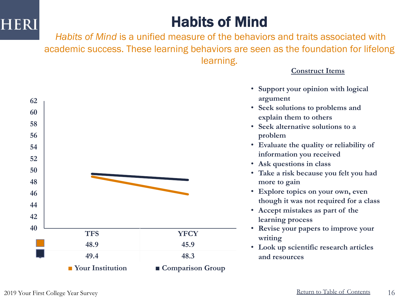### Habits of Mind

*Habits of Mind* is a unified measure of the behaviors and traits associated with academic success. These learning behaviors are seen as the foundation for lifelong learning.



**Construct Items**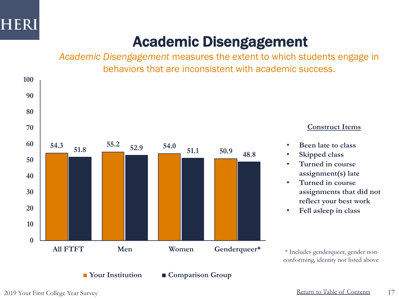

### Academic Disengagement

*Academic Disengagement* measures the extent to which students engage in behaviors that are inconsistent with academic success.



**Construct Items**

- **Been late to class**
- **Skipped class**
- **Turned in course assignment(s) late**
- **Turned in course assignments that did not reflect your best work**
- **Fell asleep in class**

conforming, identity not listed above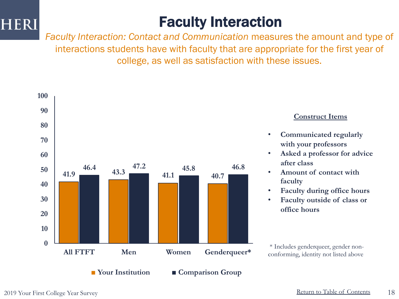### Faculty Interaction

*Faculty Interaction: Contact and Communication* measures the amount and type of interactions students have with faculty that are appropriate for the first year of college, as well as satisfaction with these issues.



#### **Construct Items**

- **Communicated regularly with your professors**
- **Asked a professor for advice after class**
- **Amount of contact with faculty**
- **Faculty during office hours**
- **Faculty outside of class or office hours**

conforming, identity not listed above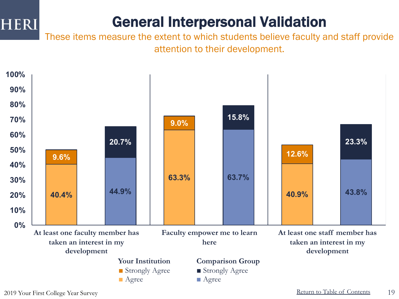### General Interpersonal Validation

These items measure the extent to which students believe faculty and staff provide attention to their development.

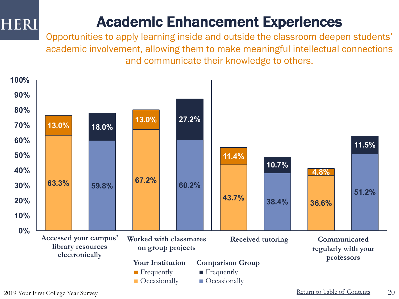### Academic Enhancement Experiences

Opportunities to apply learning inside and outside the classroom deepen students' academic involvement, allowing them to make meaningful intellectual connections and communicate their knowledge to others.

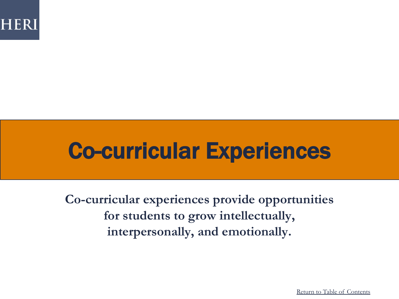

## Co-curricular Experiences

**Co-curricular experiences provide opportunities for students to grow intellectually, interpersonally, and emotionally.**

Return to Table of Contents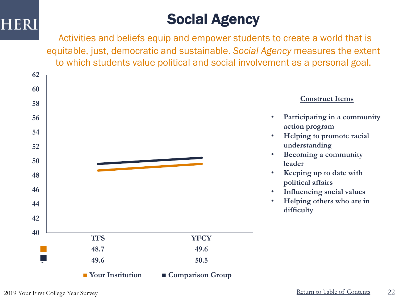### Social Agency

Activities and beliefs equip and empower students to create a world that is equitable, just, democratic and sustainable. *Social Agency* measures the extent to which students value political and social involvement as a personal goal.

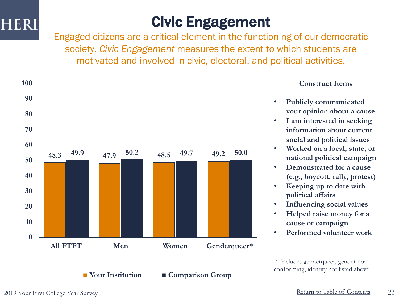

### Civic Engagement

Engaged citizens are a critical element in the functioning of our democratic society. *Civic Engagement* measures the extent to which students are motivated and involved in civic, electoral, and political activities.



### **Construct Items**

- **Publicly communicated your opinion about a cause**
- **I am interested in seeking information about current social and political issues**
- **Worked on a local, state, or national political campaign**
- **Demonstrated for a cause (e.g., boycott, rally, protest)**
- **Keeping up to date with political affairs**
- **Influencing social values**
- **Helped raise money for a cause or campaign**
- **Performed volunteer work**

\* Includes genderqueer, gender nonconforming, identity not listed above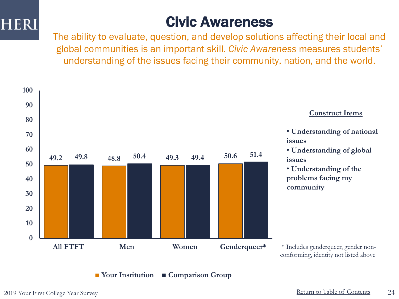

### Civic Awareness

The ability to evaluate, question, and develop solutions affecting their local and global communities is an important skill. *Civic Awareness* measures students' understanding of the issues facing their community, nation, and the world.

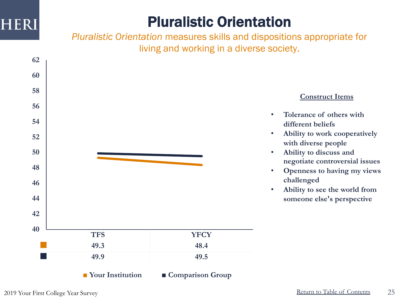### Pluralistic Orientation

*Pluralistic Orientation* measures skills and dispositions appropriate for living and working in a diverse society.

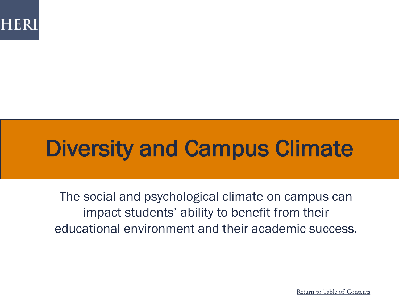

# Diversity and Campus Climate

The social and psychological climate on campus can impact students' ability to benefit from their educational environment and their academic success.

Return to Table of Contents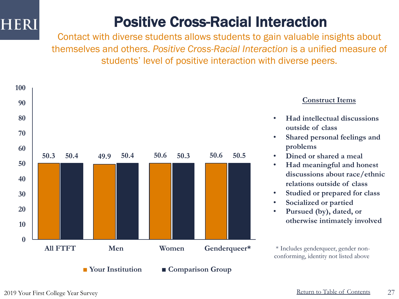### Positive Cross-Racial Interaction

Contact with diverse students allows students to gain valuable insights about themselves and others. *Positive Cross-Racial Interaction* is a unified measure of students' level of positive interaction with diverse peers.



### **Construct Items**

- **Had intellectual discussions outside of class**
- **Shared personal feelings and problems**
- **Dined or shared a meal**
- **Had meaningful and honest discussions about race/ethnic relations outside of class**
- **Studied or prepared for class**
- **Socialized or partied**
- **Pursued (by), dated, or otherwise intimately involved**

\* Includes genderqueer, gender nonconforming, identity not listed above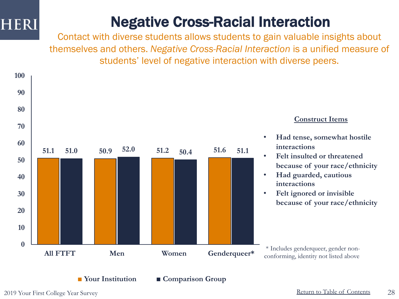### Negative Cross-Racial Interaction

Contact with diverse students allows students to gain valuable insights about themselves and others. *Negative Cross-Racial Interaction* is a unified measure of students' level of negative interaction with diverse peers.



#### **Construct Items**

- **Had tense, somewhat hostile interactions**
- **Felt insulted or threatened because of your race/ethnicity**
- **Had guarded, cautious interactions**
- **Felt ignored or invisible because of your race/ethnicity**

<sup>\*</sup> Includes genderqueer, gender nonconforming, identity not listed above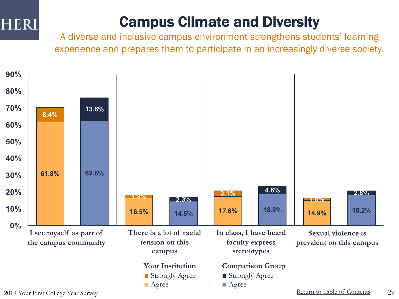## Campus Climate and Diversity

A diverse and inclusive campus environment strengthens students' learning experience and prepares them to participate in an increasingly diverse society.

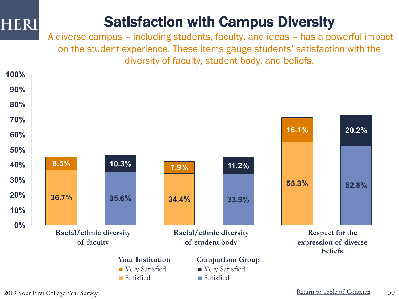## Satisfaction with Campus Diversity

A diverse campus – including students, faculty, and ideas – has a powerful impact on the student experience. These items gauge students' satisfaction with the diversity of faculty, student body, and beliefs.



Return to Table of Contents 2019 Your First College Year Survey 30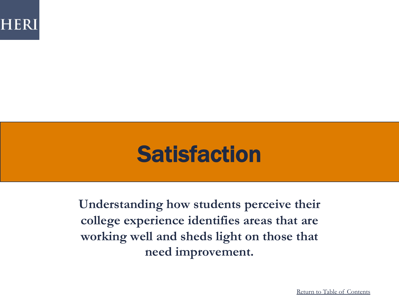

## **Satisfaction**

**Understanding how students perceive their college experience identifies areas that are working well and sheds light on those that need improvement.**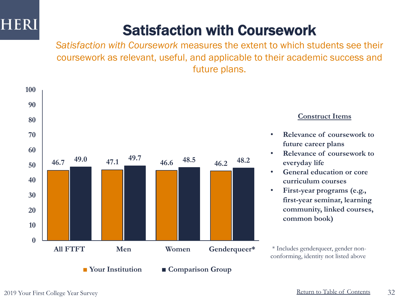## Satisfaction with Coursework

*Satisfaction with Coursework* measures the extent to which students see their coursework as relevant, useful, and applicable to their academic success and future plans.



#### **Construct Items**

- **Relevance of coursework to future career plans**
- **Relevance of coursework to everyday life**
- **General education or core curriculum courses**
- **First-year programs (e.g., first-year seminar, learning community, linked courses, common book)**

\* Includes genderqueer, gender nonconforming, identity not listed above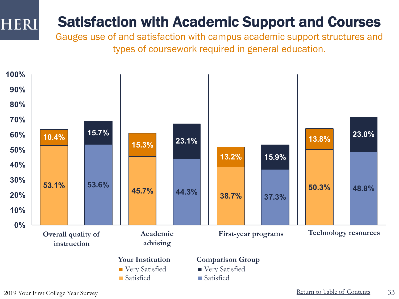### Satisfaction with Academic Support and Courses

Gauges use of and satisfaction with campus academic support structures and types of coursework required in general education.



**HERI**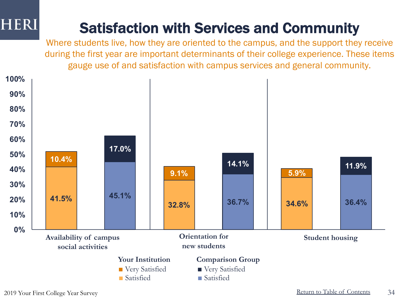## Satisfaction with Services and Community

Where students live, how they are oriented to the campus, and the support they receive during the first year are important determinants of their college experience. These items gauge use of and satisfaction with campus services and general community.

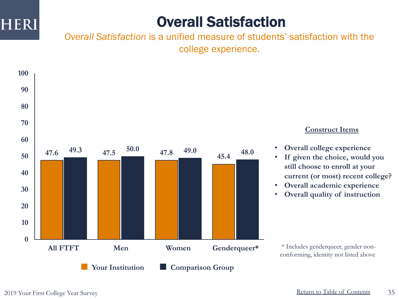

### Overall Satisfaction

*Overall Satisfaction* is a unified measure of students' satisfaction with the college experience.



### **Construct Items**

- **Overall college experience**
- **If given the choice, would you still choose to enroll at your current (or most) recent college?**
- **Overall academic experience**
- **Overall quality of instruction**

\* Includes genderqueer, gender nonconforming, identity not listed above